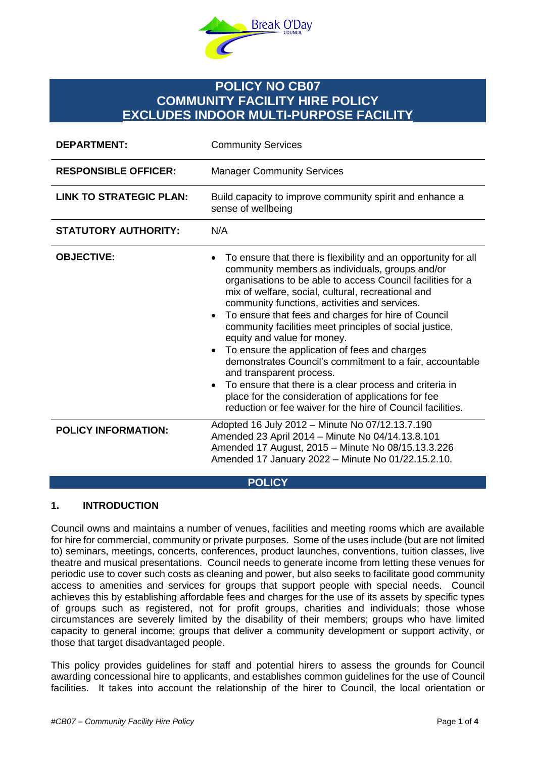

# **POLICY NO CB07 COMMUNITY FACILITY HIRE POLICY EXCLUDES INDOOR MULTI-PURPOSE FACILITY**

| <b>DEPARTMENT:</b>             | <b>Community Services</b>                                                                                                                                                                                                                                                                                                                                                                                                                                                                                                                                                                                                                                                                                                                                                       |
|--------------------------------|---------------------------------------------------------------------------------------------------------------------------------------------------------------------------------------------------------------------------------------------------------------------------------------------------------------------------------------------------------------------------------------------------------------------------------------------------------------------------------------------------------------------------------------------------------------------------------------------------------------------------------------------------------------------------------------------------------------------------------------------------------------------------------|
| <b>RESPONSIBLE OFFICER:</b>    | <b>Manager Community Services</b>                                                                                                                                                                                                                                                                                                                                                                                                                                                                                                                                                                                                                                                                                                                                               |
| <b>LINK TO STRATEGIC PLAN:</b> | Build capacity to improve community spirit and enhance a<br>sense of wellbeing                                                                                                                                                                                                                                                                                                                                                                                                                                                                                                                                                                                                                                                                                                  |
| <b>STATUTORY AUTHORITY:</b>    | N/A                                                                                                                                                                                                                                                                                                                                                                                                                                                                                                                                                                                                                                                                                                                                                                             |
| <b>OBJECTIVE:</b>              | To ensure that there is flexibility and an opportunity for all<br>community members as individuals, groups and/or<br>organisations to be able to access Council facilities for a<br>mix of welfare, social, cultural, recreational and<br>community functions, activities and services.<br>To ensure that fees and charges for hire of Council<br>$\bullet$<br>community facilities meet principles of social justice,<br>equity and value for money.<br>To ensure the application of fees and charges<br>demonstrates Council's commitment to a fair, accountable<br>and transparent process.<br>To ensure that there is a clear process and criteria in<br>place for the consideration of applications for fee<br>reduction or fee waiver for the hire of Council facilities. |
| <b>POLICY INFORMATION:</b>     | Adopted 16 July 2012 - Minute No 07/12.13.7.190<br>Amended 23 April 2014 - Minute No 04/14.13.8.101<br>Amended 17 August, 2015 - Minute No 08/15.13.3.226<br>Amended 17 January 2022 - Minute No 01/22.15.2.10.                                                                                                                                                                                                                                                                                                                                                                                                                                                                                                                                                                 |

**POLICY**

# **1. INTRODUCTION**

Council owns and maintains a number of venues, facilities and meeting rooms which are available for hire for commercial, community or private purposes. Some of the uses include (but are not limited to) seminars, meetings, concerts, conferences, product launches, conventions, tuition classes, live theatre and musical presentations. Council needs to generate income from letting these venues for periodic use to cover such costs as cleaning and power, but also seeks to facilitate good community access to amenities and services for groups that support people with special needs. Council achieves this by establishing affordable fees and charges for the use of its assets by specific types of groups such as registered, not for profit groups, charities and individuals; those whose circumstances are severely limited by the disability of their members; groups who have limited capacity to general income; groups that deliver a community development or support activity, or those that target disadvantaged people.

This policy provides guidelines for staff and potential hirers to assess the grounds for Council awarding concessional hire to applicants, and establishes common guidelines for the use of Council facilities. It takes into account the relationship of the hirer to Council, the local orientation or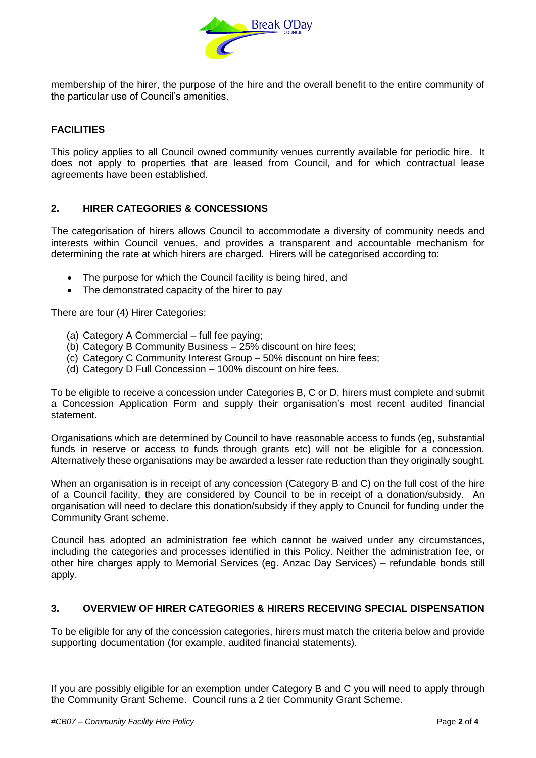

membership of the hirer, the purpose of the hire and the overall benefit to the entire community of the particular use of Council's amenities.

# **FACILITIES**

This policy applies to all Council owned community venues currently available for periodic hire. It does not apply to properties that are leased from Council, and for which contractual lease agreements have been established.

## **2. HIRER CATEGORIES & CONCESSIONS**

The categorisation of hirers allows Council to accommodate a diversity of community needs and interests within Council venues, and provides a transparent and accountable mechanism for determining the rate at which hirers are charged. Hirers will be categorised according to:

- The purpose for which the Council facility is being hired, and
- The demonstrated capacity of the hirer to pay

There are four (4) Hirer Categories:

- (a) Category A Commercial full fee paying;
- (b) Category B Community Business 25% discount on hire fees;
- (c) Category C Community Interest Group 50% discount on hire fees;
- (d) Category D Full Concession 100% discount on hire fees.

To be eligible to receive a concession under Categories B, C or D, hirers must complete and submit a Concession Application Form and supply their organisation's most recent audited financial statement.

Organisations which are determined by Council to have reasonable access to funds (eg, substantial funds in reserve or access to funds through grants etc) will not be eligible for a concession. Alternatively these organisations may be awarded a lesser rate reduction than they originally sought.

When an organisation is in receipt of any concession (Category B and C) on the full cost of the hire of a Council facility, they are considered by Council to be in receipt of a donation/subsidy. An organisation will need to declare this donation/subsidy if they apply to Council for funding under the Community Grant scheme.

Council has adopted an administration fee which cannot be waived under any circumstances, including the categories and processes identified in this Policy. Neither the administration fee, or other hire charges apply to Memorial Services (eg. Anzac Day Services) – refundable bonds still apply.

## **3. OVERVIEW OF HIRER CATEGORIES & HIRERS RECEIVING SPECIAL DISPENSATION**

To be eligible for any of the concession categories, hirers must match the criteria below and provide supporting documentation (for example, audited financial statements).

If you are possibly eligible for an exemption under Category B and C you will need to apply through the Community Grant Scheme. Council runs a 2 tier Community Grant Scheme.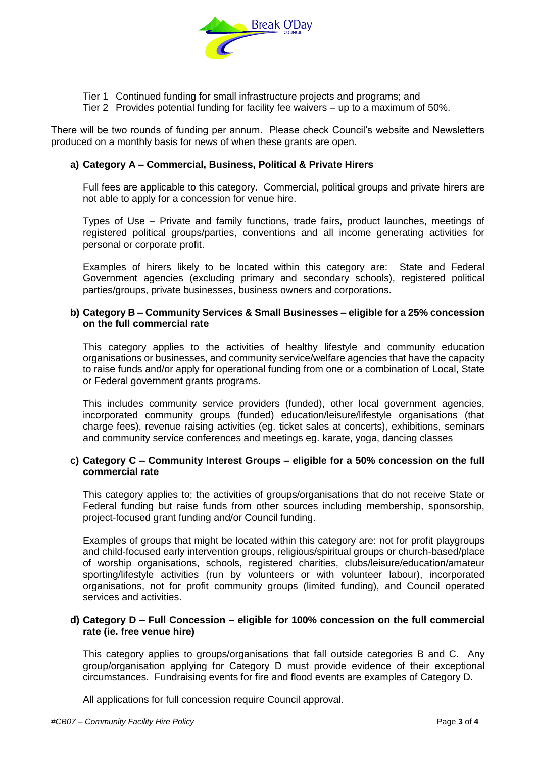

- Tier 1 Continued funding for small infrastructure projects and programs; and
- Tier 2 Provides potential funding for facility fee waivers up to a maximum of 50%.

There will be two rounds of funding per annum. Please check Council's website and Newsletters produced on a monthly basis for news of when these grants are open.

#### **a) Category A – Commercial, Business, Political & Private Hirers**

Full fees are applicable to this category. Commercial, political groups and private hirers are not able to apply for a concession for venue hire.

Types of Use – Private and family functions, trade fairs, product launches, meetings of registered political groups/parties, conventions and all income generating activities for personal or corporate profit.

Examples of hirers likely to be located within this category are: State and Federal Government agencies (excluding primary and secondary schools), registered political parties/groups, private businesses, business owners and corporations.

#### **b) Category B – Community Services & Small Businesses – eligible for a 25% concession on the full commercial rate**

This category applies to the activities of healthy lifestyle and community education organisations or businesses, and community service/welfare agencies that have the capacity to raise funds and/or apply for operational funding from one or a combination of Local, State or Federal government grants programs.

This includes community service providers (funded), other local government agencies, incorporated community groups (funded) education/leisure/lifestyle organisations (that charge fees), revenue raising activities (eg. ticket sales at concerts), exhibitions, seminars and community service conferences and meetings eg. karate, yoga, dancing classes

#### **c) Category C – Community Interest Groups – eligible for a 50% concession on the full commercial rate**

This category applies to; the activities of groups/organisations that do not receive State or Federal funding but raise funds from other sources including membership, sponsorship, project-focused grant funding and/or Council funding.

Examples of groups that might be located within this category are: not for profit playgroups and child-focused early intervention groups, religious/spiritual groups or church-based/place of worship organisations, schools, registered charities, clubs/leisure/education/amateur sporting/lifestyle activities (run by volunteers or with volunteer labour), incorporated organisations, not for profit community groups (limited funding), and Council operated services and activities.

#### **d) Category D – Full Concession – eligible for 100% concession on the full commercial rate (ie. free venue hire)**

This category applies to groups/organisations that fall outside categories B and C. Any group/organisation applying for Category D must provide evidence of their exceptional circumstances. Fundraising events for fire and flood events are examples of Category D.

All applications for full concession require Council approval.